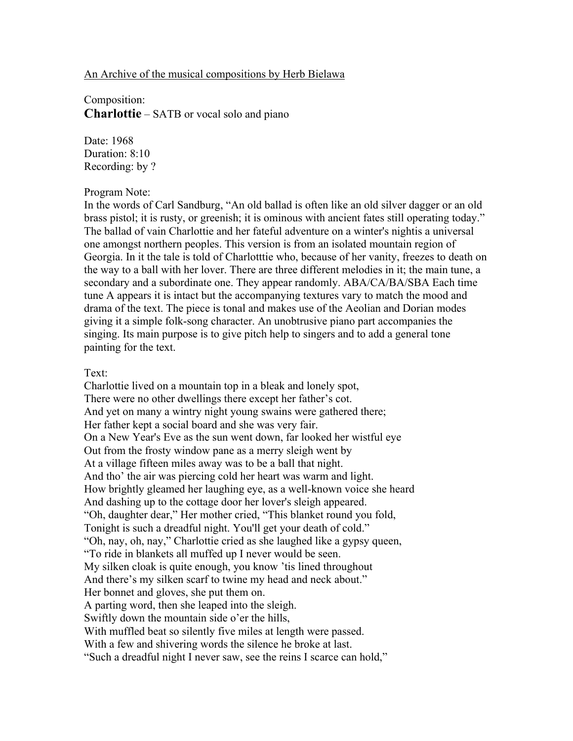## An Archive of the musical compositions by Herb Bielawa

Composition: **Charlottie** – SATB or vocal solo and piano

Date: 1968 Duration: 8:10 Recording: by ?

## Program Note:

In the words of Carl Sandburg, "An old ballad is often like an old silver dagger or an old brass pistol; it is rusty, or greenish; it is ominous with ancient fates still operating today." The ballad of vain Charlottie and her fateful adventure on a winter's nightis a universal one amongst northern peoples. This version is from an isolated mountain region of Georgia. In it the tale is told of Charlotttie who, because of her vanity, freezes to death on the way to a ball with her lover. There are three different melodies in it; the main tune, a secondary and a subordinate one. They appear randomly. ABA/CA/BA/SBA Each time tune A appears it is intact but the accompanying textures vary to match the mood and drama of the text. The piece is tonal and makes use of the Aeolian and Dorian modes giving it a simple folk-song character. An unobtrusive piano part accompanies the singing. Its main purpose is to give pitch help to singers and to add a general tone painting for the text.

## Text:

Charlottie lived on a mountain top in a bleak and lonely spot, There were no other dwellings there except her father's cot. And yet on many a wintry night young swains were gathered there; Her father kept a social board and she was very fair. On a New Year's Eve as the sun went down, far looked her wistful eye Out from the frosty window pane as a merry sleigh went by At a village fifteen miles away was to be a ball that night. And tho' the air was piercing cold her heart was warm and light. How brightly gleamed her laughing eye, as a well-known voice she heard And dashing up to the cottage door her lover's sleigh appeared. "Oh, daughter dear," Her mother cried, "This blanket round you fold, Tonight is such a dreadful night. You'll get your death of cold." "Oh, nay, oh, nay," Charlottie cried as she laughed like a gypsy queen, "To ride in blankets all muffed up I never would be seen. My silken cloak is quite enough, you know 'tis lined throughout And there's my silken scarf to twine my head and neck about." Her bonnet and gloves, she put them on. A parting word, then she leaped into the sleigh. Swiftly down the mountain side o'er the hills, With muffled beat so silently five miles at length were passed. With a few and shivering words the silence he broke at last. "Such a dreadful night I never saw, see the reins I scarce can hold,"